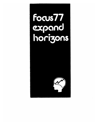# FocusTI expand<br>horizons

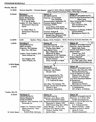#### Monday, May 23

| 9:15AM          |                                                                                                                                                                                                                                                                 | General Assembly - Keynote Speaker: Joseph D. Cohn, Deputy Assistant Administrator<br>Office Federal Procurement Policy, Office Mgt. & Budget                                                                                                                                                                                                                                         |                                                                                                                                                                                                                                                                                                                                                                                      |
|-----------------|-----------------------------------------------------------------------------------------------------------------------------------------------------------------------------------------------------------------------------------------------------------------|---------------------------------------------------------------------------------------------------------------------------------------------------------------------------------------------------------------------------------------------------------------------------------------------------------------------------------------------------------------------------------------|--------------------------------------------------------------------------------------------------------------------------------------------------------------------------------------------------------------------------------------------------------------------------------------------------------------------------------------------------------------------------------------|
| 10:30AM         | Workshop I<br><b>HOUSTON SUITE</b><br><b>Career Advancement</b><br>Organizer: Gene Day<br>C. E. Day & Assoc.<br>Leaders: Dr. Edw. Adams, Jr.<br><b>Achievement Resources</b><br><b>Center</b><br>Dr. Walter Work, Jr.<br><b>Achievement Resources</b><br>Center | Session #1<br><b>ATLANTA SUITE</b><br>Chairman: Art Karsteadt<br><b>Example 1 Irvin Industries</b><br><b>Communication Application Of</b><br><b>Function Analysis System</b><br>Technique (FAST)<br>Lloyd Wilson, CVS, Smith,<br>Hinchman & Grylls Assoc, Inc.<br><b>Function Analysis &amp;</b><br>Governmental Programming<br>Donald Goss, Governor's Off.<br>Commonwealth of Penn. | Session #2<br><b>STANLEY STEAMER SUITE</b><br>Chairman:Russ Bartholomew,CVS<br>Ranco Corp.<br>షుపాలు<br><b>Value Analyzing Mfg. Processes</b><br>Does It Work?<br>John Groothuis, CVS,<br>Value Analysis Inc.<br>Resistance To Change, A Myth?<br>Leonard Schehr,<br>Westinghouse Electric Co.                                                                                       |
| 12:30PM         | Lunch                                                                                                                                                                                                                                                           | Speaker: Philip J. Meathe, FAIA, President - Smith, Hinchman & Grylls Associates, Inc.                                                                                                                                                                                                                                                                                                |                                                                                                                                                                                                                                                                                                                                                                                      |
| 2:00PM          | Workshop II<br><b>HOUSTON SUITE</b><br><b>ABC's Of Value</b><br>Organizer: Ron Schliebe<br>Chev. Div., GM Corp.<br>Leaders: Dusty Fowlkes, CVS<br>Value Analysis Inc.<br>Doc Ruggles, CVS<br>Value Analysis, Inc.                                               | Session #3<br><b>ATLANTA SUITE</b><br>Chairman: Tom Cook, CVS<br><b>Thomas Cook Assoc.</b><br>Sales Market Value<br>Marv. Wasserman, CVS,<br>Wasserman & Assoc.<br>Development of V.E. Activities<br>Utilizing Worst Index Figure<br>Shuichi Hoshino<br>نې سورې مخوا د مخت<br>Victor Company of Japan                                                                                 | Session #4<br><b>STANLEY STEAMER SUITE</b><br>Chairman: Harvey Schneider<br><b>Albert Kahn Assoc.</b><br>VA/VE Gold Mines In Public<br><b>Works Project</b><br>Vincent Lao, CVS,<br>V. L. Lao & Assoc.<br>Project Selection"<br><b>Modeling Techingues</b><br>A.J. Dell' Isola, CVS, Smith,<br>Hinchman & Grylls Assoc, Inc.                                                         |
| 3:30PM Break    |                                                                                                                                                                                                                                                                 | ۰,                                                                                                                                                                                                                                                                                                                                                                                    |                                                                                                                                                                                                                                                                                                                                                                                      |
| 3:45PM          |                                                                                                                                                                                                                                                                 | Session #5<br><b>ATLANTA SUITE</b><br>Chairman: Ivan Shadko<br>Chrysler Corp.<br>Value Engineering For The<br>Mortgage Banking Industry<br>Irwin Freedman, P.E.<br>I. A. Freedman & Assoc.<br>Zero Base: The Concept, The<br>Process, and the Value Engineer<br><b>Charles C. Buik</b><br><b>University Consultants</b>                                                               | Session #6<br><b>STANLEY STEAMER SUITE</b><br>Chairman: Bob Churchill, CVS<br>General Dynamics Inc.<br>Focus on Nature of A VECP<br>Howard Pryor, Air Force<br>Institute of Technology<br><b>ILS VECP Awareness Sessions</b><br>& Recognition<br><b>Richard Keener</b><br><b>Westinghouse Electric</b><br>VE Development in the DOD<br>R. Biedenbender,<br>Off. of Sec'y. of Defense |
| Tuesday, May 24 |                                                                                                                                                                                                                                                                 |                                                                                                                                                                                                                                                                                                                                                                                       |                                                                                                                                                                                                                                                                                                                                                                                      |
| 8:30AM          | <b>Workshop III</b><br><b>HOUSTON SUITE</b><br>Human Relations &<br><b>Group Dynamics</b><br>Organizer: Jerry Kaufman, CVS<br>Honeywell Inc.<br>Leaders: Dr. Rosemary Fraser<br>Miami University - Ohio                                                         | Session $#1$<br><b>ATLANTA SUITE</b><br>Chairman: Jerry Moon, CVS,<br>Profit Improvement Assoc.<br><b>Supporting Decisions with Synectics</b><br>Raymond D. Gilbert, CVS<br>DOD Product Eng. Serv. Office<br>Value Manage - A Tool For<br><b>Enriched And Happier Living</b>                                                                                                          | Session #2<br><b>STANLEY STEAMER SUITE</b><br>Chairman: C. P. Smith, CVS,<br>Vought Aeronautics Co.<br>Value In Life For Self And The<br>World - A Dream<br>S. S. Venkataramanan<br>Western Railway - India<br><b>Students Involved In SAVE</b>                                                                                                                                      |
|                 | Peter Ried<br>Krehl & Ried-Germany                                                                                                                                                                                                                              | Teresa A. Barlow, CVS,<br><b>Barlow Assoc.</b>                                                                                                                                                                                                                                                                                                                                        | James M. Frusti<br><b>Chrysler Corporation</b>                                                                                                                                                                                                                                                                                                                                       |
| 10:15AM Break   |                                                                                                                                                                                                                                                                 |                                                                                                                                                                                                                                                                                                                                                                                       |                                                                                                                                                                                                                                                                                                                                                                                      |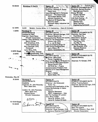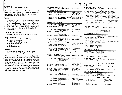#### **SCHEDULE OF EVENTS (Summary)**

## **FOCUS 77** - **EXPAND HORIZONS** . . . . . . .

The conference will show how the horizons of knowl**edge have been expanded to achieve results beyond**  expectations by the application of the scientific disciplines of Value Engineering.

िल्ल

1 - **Scope** . . . . . . I **Commercial Industry, Architecture-Engineering-Construction, Social Services, Community Affairs, Government** - **Federal** - **State** - **Local, Banking and Commerce, Chemical and Petroleum, Administration, Organizational Development, Decision Making, Education, Medical and Hospitals, Energy Conservation.** 

**Technical Paper Sessions** . . . . . .

**Benefits, State-of-the-Art Applications, Theory.** 

#### **Workshop Sessions** . . . . . .

**Demonstrate by hands-on participation.** 

- **Career Advancement**
- **ABC's of Value Engineering**
- **Function and FAST**
- **Creativity**
- **Human Relations**

**Exhibits.** . . . . . **Professional Services and Products,- Solve Problems, Improve Operations, Increase Profit.** 

**The conference will support and strengthen Value Engineering as a management tool to aid business,**  ' **government, community organizations and the everyday activities of the individual. It will show how the practical tools of Value Engineering combined with group dynamics, human relations and salesmanship can help to organize all available resources to obtain maximum benefit from applied effort in the rapidly changing technical and social climate of today and the future.** 

| SATURDAY MAY 21, 1977                 |                                                                |                                               | WEDNESDA                    |
|---------------------------------------|----------------------------------------------------------------|-----------------------------------------------|-----------------------------|
|                                       | 1:00PM - 5:00PM National Board Meeting                         | <b>Thomas Suite</b>                           | $8:00AM - 12$               |
| SUNDAY MAY 22, 1977                   |                                                                |                                               |                             |
| 8:00AM - 5:00PM Exhibit Set Up        |                                                                | Dearborn Suite and                            | $8:30AM - 12$               |
|                                       |                                                                | <b>Hubbard Foyer</b>                          | $8:30AM - 10$               |
| 1:00PM - 4:00PM                       | <b>CVS Examination</b>                                         | <b>Bugatti Royale Suite</b>                   | $10:15AM - 10$              |
| 1:00PM -<br>2:30PM                    | <b>Delegate Authentication</b>                                 | Auburn Suite                                  | 10:30AM - 12                |
| 2:30PM - 5:00PM                       | Annual Business Meeting Stanley Steamer Suite                  |                                               |                             |
| 4:00PM - 8:00PM                       | <b>Pre-Registration</b>                                        | Atrium at Hubbard                             | 12:00PM - 12:               |
|                                       |                                                                | Entrance                                      | $1:00PM -$                  |
| 6:00PM - 8:00PM                       | <b>Attendees Reception</b>                                     | Dearborn Suite                                |                             |
| <b>MONDAY MAY 23, 1977</b>            |                                                                |                                               | $1:00PM - 5:$               |
|                                       | 7:30AM - 12:00PM Registration & Informa-                       | <b>Atrium at Hubbard</b>                      | 2:00PM - 5:                 |
|                                       | tion Desk Open                                                 | Entrance                                      |                             |
|                                       | 12:00PM - 5:00PM Registration & Informa-                       | Hubbard Cloak Room                            | THURSDAY                    |
|                                       | tion Desk Open                                                 |                                               | 8:30AM - No                 |
|                                       | 9:15AM - 10:00AM General Assembly and                          | Springwell Suite                              |                             |
|                                       | <b>Opening Ceremony</b>                                        |                                               |                             |
| 10:00AM - 10:30AM Exhibit Break       |                                                                | Dearborn Suite                                |                             |
| 10:30AM - 12:30PM Workshop I - Career | Advancement                                                    | <b>Houston Suite</b>                          | <b>MONDAY M</b>             |
|                                       | 10:30AM - 12:30PM Technical Sessions #1                        | Atlanta Suite                                 |                             |
|                                       | #2                                                             | <b>Stanley Steamer Suite</b>                  |                             |
| 12:30PM - 2:00PM                      | Lunch and Speaker                                              | Springwell Suite                              | $9:00AM - 10$               |
| 2:00PM - 5:30PM                       | Workshop II - ABC's of                                         | <b>Houston Suite</b>                          | $10:00AM - 10$              |
|                                       | Value                                                          |                                               | 10:30AM - No                |
| $2:00PM - 3:30PM$                     | Technical Sessions #3                                          | Atlanta Suite                                 | 12:00PM - 1:                |
|                                       | #4                                                             | <b>Stanley Steamer Suite</b>                  | $1:00PM - 2$                |
| 3:30PM - . 3:45PM Exhibit Break       |                                                                | Dearborn Suite                                | 2:30PM - 3:<br>$3:00PM - 4$ |
| 3:45PM - 5:30PM                       | Technical Sessions #5                                          | Atlanta Suite                                 | $4:00PM - 4:$               |
|                                       | #6                                                             | <b>Stanley Steamer Suite</b>                  |                             |
| 5:30PM - 7:30PM                       | <b>International Reception</b>                                 | Springwell Suite                              |                             |
| 5:30PM - 6:30PM                       | <b>Great Plains Meeting</b>                                    | <b>Auburn Suite</b>                           | TUESDAY M                   |
| 5:30PM -<br>6:30PM                    | Performance Magazine<br>Brainstorming Session                  | Atlanta Surte                                 | 9:00AM - No                 |
|                                       |                                                                |                                               | $12:00PM - 1:$              |
| TUESDAY MAY 24, 1977                  |                                                                |                                               |                             |
|                                       | 8:00AM - 5:00PM Registration & Informa-                        | <b>Hubbard Cloak Room</b>                     | $1:00PM - 3:$               |
|                                       | tion Desk Open                                                 |                                               |                             |
|                                       | 8:30AM - 12:15PM Workshop III - Human                          | <b>Houston Suite</b>                          | WEDNESDA                    |
|                                       | <b>Relations &amp; Group</b>                                   |                                               | 10:00PM - 12:               |
|                                       | Organizations                                                  |                                               |                             |
|                                       | 8:30AM - 10:15AM Technical Sessions #1<br>#2                   | Atlanta Suite<br><b>Stanley Steamer Suite</b> |                             |
| 10:15AM - 10:30AM Exhibit Break       |                                                                | Dearborn Suite                                |                             |
|                                       | 10:30AM - 12:15PM Technical Sessions #3                        | Atlanta Suite                                 | WEDNESDA                    |
|                                       | #4                                                             | <b>Stanley Steamer Suite</b>                  | $1:00PM - 5:$               |
|                                       | 11:00AM - 12:15PM Presidents' Reception                        | <b>Royale Suite</b>                           |                             |
| 12:15PM - 1:45PM Lunch and Speaker    |                                                                | Springwell Suite                              | $1:00PM - 5:$               |
| 1:45PM - 3:15PM                       | Presidents' Exchange                                           | <b>Royale Suite</b>                           |                             |
|                                       | 1:45PM - 5:30PM Workshop IV - Function                         | <b>Houston Suite</b>                          | THURSDAY                    |
|                                       | and Fast                                                       |                                               | $8:30AM - 5$                |
| 1:45PM - 3:30PM                       | <b>Technical Sessions #5</b>                                   | Atlanta Suite                                 |                             |
|                                       | #6                                                             | <b>Stanley Steamer Suite</b>                  | $8:30AM - 5$                |
| $3:30PM - 3:45PM$                     | <b>Exhibit Break</b>                                           | Dearborn Suite                                |                             |
| 3:45PM -<br>5:30PM                    | Technical Sessions #7                                          | Atlanta Suite<br>Stanley Steamer Suite        | NBO Book                    |
| 5:30PM - 7:30PM                       | Japanese Meeting #8<br>Attitude Adjustment Hour Dearborn Suite |                                               | <b>Ladies Hos</b>           |
| 7.30PM - 8.30PM Banquet               |                                                                | Springwell Suite                              | Speaker Lo                  |

8:30PM - 10:00PM Awards Springwell Suite 10:00PM - 7 **Entertainment** Springwell Suite

**WEDNESDAY MAY** 25.1977 :00PM Registration & Informa- Hubbard Cloak Room tion Desk Open :00PM Workshop V - Creativity 8:15AM Technical Sessions #1 Officer Training #2 :30AM Exhibit Break 10:30AM - 12:OOPM International Forum #3 Meet the Experts #4 12:OOPM - 12:30PM Critique the Conference Exhibits Close 1 :00PM - 5:30PM National Board Meeting 2:OOPM - 5:00 PM Plant Tours Houston Suite Atlanta Suite Stanley Steamer Suite Dearborn Suite Atlanta Suite Stanley Steamer Suite Bugatti Royale Suite Dearborn Suite and Hubbard Foyer Thomas Suite Dusenberg Suite **MAY 26, 1977**<br>In Mational Be **Mational Board Meeting Thomas Suite SPOUSES' PROGRAM MONDAY MAY** 23,1977 Workshop - Horizons<br>Of Awareness Sterns-Knight Suite :00AM Where and Who We Are 1000 : 30AM Coffee Break<br>1000 - How We Got on How We Got Here<br>00PM - Luncheon Bugatti Royale Suite 30PM Awareness of Others :00PM Coffee Break OOPM New Horizons 30PM Discussion and Evaluation **TUESDAY MAY** 24,1977 on Tour Greenfield Village Dusenberg Suite 12:00PM - Lunch and Speaker -Theresa Barlow Barlow Assoc. 1 :00PM - 3:30PM Tour Henry Ford Museum **WEDNESDAY MAY** 25,1977 10.00PM - 12:OOPM Fairlane Town Center Dusenberg Suite **Shopping**  $RESTRICTED POST SEMINARS$ **WEDNESDAY MAY** 25,1977 30PM Joy Manufacturing Cor- Mercer Suite porate Seminar 1 :00PM - 5:30PM DARCOM Seminar Model T Suite **THURSDAY MAY** 26, 1977 :30PM Joy Manufacturing Cor- Mercer Suite porate Seminar :30PM DARCOM Seminar Model T Suite **SPECIAL ROOMS** Store **Franklin Suite** .<br>Ladies Hospitality Dusenberg Suite<br>Mercer Suite Speaker Lounge Public Affairs **Auburn Suite** 

Conference Headquarters Packard Suite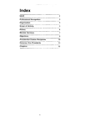# **Index**

| <b>SAVE</b>                             |    |
|-----------------------------------------|----|
| <b>Professional Recognition</b>         | з  |
| Organization                            | 4  |
| <b>Scope of Activity</b>                | 5  |
| History                                 | 6  |
| <b>Member Services</b>                  |    |
| <b>Objectives</b>                       | 9  |
| <b>Presidential Citation Recipients</b> | 10 |
| <b>Honorary Vice Presidents</b>         | 11 |
| Chapters                                | 12 |

 $\label{eq:1} \begin{array}{lllllllllll} \mathbf{1}_{\{1,2,3\}} & \mathbf{1}_{\{1,3,4\}} & \mathbf{1}_{\{1,2,4\}} & \mathbf{1}_{\{1,3,4\}} \\ \mathbf{1}_{\{1,3,4\}} & \mathbf{1}_{\{1,3,4\}} & \mathbf{1}_{\{1,3,4\}} & \mathbf{1}_{\{1,3,4\}} & \mathbf{1}_{\{1,3,4\}} \\ \mathbf{1}_{\{1,3,4\}} & \mathbf{1}_{\{1,3,4\}} & \mathbf{1}_{\{1,3,4\}} & \mathbf{1}_{\{1$ 

÷.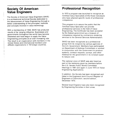#### **Society Of American**  I **Value Engineers**

i

: The Society of American Value Engineers (SAVE) is a professional technical Society dedicated to the advancement of Value Engineering through a better understanding of the principles, methods and concepts involved in value technology.

With a membership of 1500, SAVE has produced results of far ranging influence. Businesses and governments throughout the world have become interested and have begun to apply the Value Engineering principles at an ever increasing rate.<br>The result is an organization with members in the United States and international members and affiliate organizations in 16 foreign countries.

# **Professional Recognition**

In 1973 a program was launched to recognize as Certified Value Specialists (CVS) those individuals who have attained specific levels of professional competence.

This program is to assure the public that the Certified Value Specialist can provide professional services in the field of Value Engineering. The Certificate has been accepted by the federal government as a measure of competence required by contractors rendering services to the General Services Administration.

SAVE has been recognized as a professional group from its inception by various agencies of the U.S. Government. Members have participated on Department of Defense Committees or worked in conjunction with the Government to produce systems, contract requests, surveys, and other material for the government in its constant quest to reduce cost.

The national voice of SAVE was also heard as part of the testimony given by members before the U.S. Senate Public Works Committee Hearings in 1967 and again in June 1973 on Value Engineering Applications.

In addition, the Society has been recognized and listed in the Engineers Joint Council Register of Engineers of Distinction, second edition, December 1973.

Several local Chapters have also been recognized by Engineering Societies in their areas.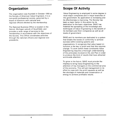### **Organization**

The organization was founded in October 1959 as the Society of American Value Engineers. It is a non-profit professional society, governed by a board of directors with national and regional officers elected by the membership.

The National Business Office is located in the Detroit, Michigan suburb of Southfield, and provides a wide range of services to the membership in accordance with the objectives of the Society. This Office coordinates activities through the national officers and regional vice presidents.

# **Scope Of Activity**

Value Engineering is employed to some degree in most major companies and in major branches of the government. Its application is increasing and its effectiveness is improving. The Society has been a major factor in this action by its dedication to the basic objectives. SAVE has fostered the spreading of the knowledge and techniques of Value Engineering to the benefit of its members and their companies as well as all levels of government.

SAVE and its members are dedicated to a system that breaks the bonds of conformity to achieve success within existing systems and organizations. It recognizes that value based on function is the key to profit and that this requires change. To work within these constraints Value Engineering requires a thorough understanding of the principles involved in the Job Plan in order to produce the kind of results that have attracted world-wide attention.

To grow in the future, SAVE must provide the impetus to bring Value Engineering to the attention of key managers in the commercial area of the economy. This will aid management in its effort to cope with the profit squeeze as well as the shortage of materials and conservation of energy to achieve profitable results.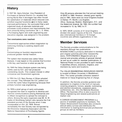## **History**

In 1947 Mr. Harry Erlicher, Vice President of Purchases at General Electric Co. recalled that during World War II shortages had often forced the substitution of materials which reduced cost, satisfied required functions; and in many cases, improved performance. He concluded that a well organized study of alternate materials and processes could produce cost improvements that were presently being overlooked. Mr. L. D. Miles, a Purchasing Agent with both engineering and education degrees, was assigned to the problem.

#### **Two conciusions were reached:**

**1.** 

Conventional approaches stifled imagination by restricting thinking to existing objects and designs. 2.

Concentrating on function requirements produced greater mental freedom.

The system that resulted was called Value Analysis. It was based on the premise that function is the key, and function is what we pay for.

By 1949 the Value Analysis system was being widely used by G.E. and had produced outstanding results. This created interest in other companies and Government agencies.

In 1954 the U.S. Navy Bureau of Ships adopted the concept. They followed the G.E. pattern but coined the name Value Engineering because their primary function was engineering.

By 1959 a small group of early enthusiasts recognized the need to organize to develop and improve communications among themselves and to obtain recognition to spread the concept to others. Among the early organizers was Mr. B. W. Eades of Stromberg Carlson who became the first president pro-tem of the Society when it was incorporated on Oct. 22, 1959. Almost immediately the new Society was recognized by the Electronic Industries Association and the National Association of Purchasing Agents.

Only 26 persons attended the first annual meeting of SAVE in 1960. However, interest grew rapidly and in 1961, there were six local Chapters located in Dallas-Ft. Worth: Los Angeles: Utica-Syracuse; Boston, Washington, D.C.; and the Watervliet Arsenal. By 1962, the number had increased to 12, by 1963, to 21.

In 1975, SAVE consists of 41 local Chapters divided into seven regions of the U.S. There are also international members in 15 foreign countries and affiliate organizations in two.

## **Member Services**

The Society provides communications to the members through two publications. INTERACTIONS is primarily dedicated to member and chapter activities and other newsworthy items. PERFORMANCE Magazine acts as a journal and provides articles of general interest as well as an outlet for member publications. A National Roster is also provided to each member. It identifies officers, directors, chapters, and members by name and locations.

The VALUE ENGINEERING RESOURCES CENTER is located at Miami University in Middletown, Ohio. The center provides extensive research material on Value Engineering free of charge.

In addition, the Society provides guidance and assistance to chapters in the form of manuals covering programs, honors, awards, nominating and election procedures, expansion plans, conferences, etc., thru the National Business Office. The business office is also a source for Value Engineering and related publications at market cost.

A CAREER ADVANCEMENT PROGRAM is a source of available positions to members. The Career Advancement Committee also conducts annual salary surveys and distributes the information to leading technical and professional groups as well as members.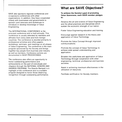SAVE also sponsors regional conferences and co-sponsors conferences with other organizations. In addition, they have cooperated closely with businesses and governments to sponsor joint seminars and workshops to introduce or develop knowledge of Value Engineering.

The INTERNATIONAL CONFERENCE is the principal conference and is held annually. This conference is usually attended by members and affiliates from every state and from foreign countries. The conference is devoted primarily to professional activities and offers papers, workshops, seminars, and meetings on all phases of Value Engineering. The conference is the main program sponsored by the Society and brings together key people from business and industry as well as members. Conference actions are documented in SAVE PROCEEDINGS.

The conference also offers an opportunity to honor outstanding performance and achievements on the part of individuals and chapters through the NATIONAL HONORS AND AWARDS PROGRAM. The Awards Banquet is a highlight of the conference and is a suitable program designed to honor those deserving recognition through outstanding performance.

## **What are SAVE Objectives?**

**To achieve the Society's goal of promoting Value Awareness, each SAVE member pledges to:** 

Advance the art and science of Value Engineering and the allied practices and disciplines which sustain the economic strength of our nation.

Foster Value Engineering education and training.

Encourage applied research in the theory and application of Value Technology.

Promote the Value Concept through improved communications.

Promote the concept of Value Technology to achieve wide spread understanding and application.

Broaden the usefulness and application of Value Technology through cooperation with other engineering, technical, professional and business societies.

Assist in achieving maximum effectiveness in the utilization of resources.

Facilitate certification for Society members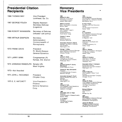# **Presidential Citation Mexical Honorary<br>
Recipients Mexical Presidents**

| <b>1966 THOMAS MAY</b> | <b>Vice President</b><br>Lockheed, Ga. Co.                      | 1962<br>William M. Allen<br>Chairman of the Board<br>The Boeing Company                                                                                                            | 1969<br>Lee I<br>Vice  <br>Hone                                    |
|------------------------|-----------------------------------------------------------------|------------------------------------------------------------------------------------------------------------------------------------------------------------------------------------|--------------------------------------------------------------------|
| 1967 GEORGE FOUCH      | Deputy Assistant<br><b>Secretary Defense</b><br>(Logistics)     | Seattle, Washington<br>Albert E. Everett<br>Dean, Northeastern University<br>Boston, Mass.                                                                                         | Minn<br>W. Pa<br>Presi<br>Office<br>LTV /                          |
| 1968 ROBERT McNAMARA   | Secretary of Defense<br>(refused—job policy)                    | <b>Marion L. Hicks</b><br>Vice President, Legal &<br>Procurement<br>General Dynamics<br>Forth Worth, Texas                                                                         | Dalla<br>1970<br>S. F.<br>Vice<br>North                            |
| 1969 ARTHUR SAMPSON    | Secretary,<br>Administration<br>Commonwealth of<br>Pennsylvania | <b>Charles F. Horne</b><br>President<br>General Dynamics<br>Pomona, California<br>Honorable Thomas D. Morris<br>Assistant Secretary of Defense<br>The Pentagon<br>Washington, D.C. | Corp<br>EI Se<br>John<br>Chair<br>Presi<br>LTV I<br>Dalla          |
| 1970 FRANK DAVIS       | President<br>Ft. Worth Division<br>General Dynamics             | George T. Willey<br>Vice President & General Manager<br>Martin-Marietta Corporation<br>Orlando, Florida                                                                            | 1971<br>Olive<br>Grou<br>The E<br>Seatt                            |
| 1971 LARRY WINN        | Congressman (R)<br>Kansas, 3rd. District                        | 1965<br>James A. Drain<br>Chairman of the Board<br>Joy Manufacturing Company<br>Pittsburgh, Penn.                                                                                  | 1972<br>Sem<br>Chair<br>White<br>Clev6                             |
| 1972 JENNINGS RANDOLPH | Senator (D)<br>West Virginia                                    | 1966<br><b>General Thomas P. Gerrity</b><br>(Deceased)<br>United States Air Force                                                                                                  | Hono<br>Actin<br>Gene<br>Wash                                      |
| 1973-Not Awarded       |                                                                 | Thomas R. May (Deceased)<br>President<br>Lockheed-Georgia Company<br>Marietta, Georgia                                                                                             | 1973<br>Keith<br>Vice                                              |
| 1974 JOHN J. RICCARDO  | President<br>Chrysler Corp.                                     | Honorable George E. Fouch<br>Deputy Assistant Secretary of<br>Defense                                                                                                              | Divisi<br>Interr<br>Chica                                          |
| 1975 E. E. HATCHETT    | Vice-President-<br>Finance<br>General Dynamics<br>Corp.         | The Pentagon<br>Washington, D.C.<br>1967<br>Clinton D. York<br>Vice President, Parts Operations<br>Ford Motor Company<br>Dearborn, Michigan                                        | 1974<br>Willia<br>Vice<br>Trans<br>The \<br>Chica<br>Richa<br>Vice |

# **Recipients Vice Presidents**

**Marion L. Hicks Dallas, Texas** *Dallas*, Texas *Vice President. Legal &* Procurement General Dynamics Forth Worth. Texas

**1967 Clinton D. York**  Vice President, Parts Operations Ford Motor Company Dearborn, Michigan **Richard Wildman** 

**1968 Honorable John A. Volpe**  Governor Commonwealth of Massachusetts Boston, Mass. **<sup>1975</sup> T. A. Wilson** 

President The Boeing Company<br>Seattle, Wash.

**1969 Lee E. Sheehan** 

Vice President & General Manager Honeywell, Inc.. Ordnance Division Minneapolis, Minn.

**W. Paul Thayer**  President and Chief Executive Officer<br>LTV Aerospace Corporation

**1970 S. F. Eyestone**  Vice President & General Manager North American Rockwell Corporation El Segundo, Calif.

**John W. Dixon**  Chairman of the Board and President LTV Electrosystems, Inc. Dallas, Texas

**Oliver C. Boileau**  Group Vice President-Aerospace The Boelng Company Seattle. Wash.

**1972 Semon E. Knudsen**  Chairman of the Board White Motor Company Cleveland, Ohlo

**Honorable Arthur F. Sampson**  Acting Administrator General Services Administration Washington, D.C.

**1973 Keith P. Mazurek**  Vice President-Motor Truck Division International Harvester Company Chicago, Illinois

**1974 William W. Parks**  Vice President & General Manager Transportation Systems Div. The Vapor Corporation Chicago, Ill.

Vice President TWA Kansas City, Mo.

**Otto Kllma**  Vice President & General Manager General Electric Company Philadelphia, Pennsylvania

Seattle, Wash. **James W. Wilcock** President & Board Chairman Joy Manufacturmg Company Pittsburgh, Pennsylvania